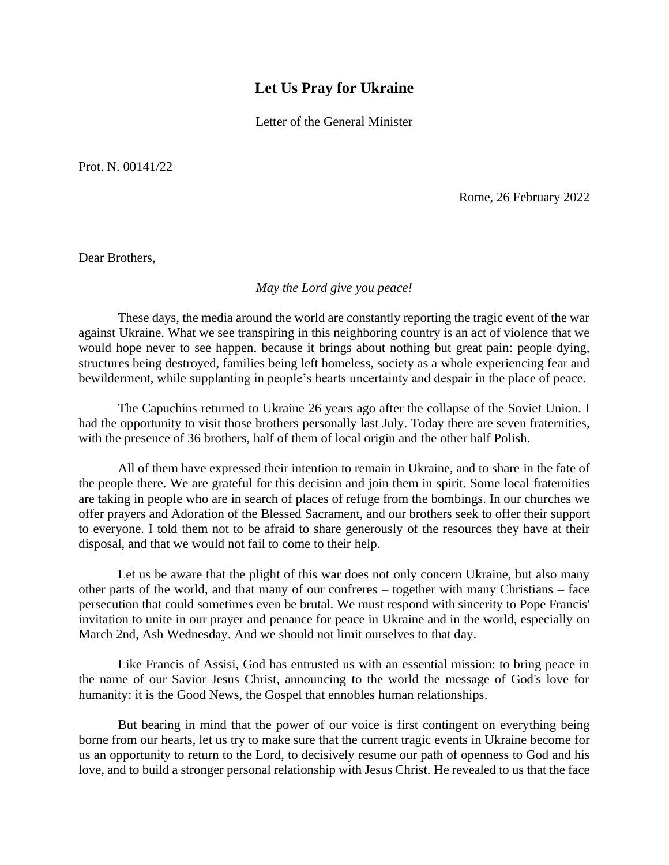## **Let Us Pray for Ukraine**

Letter of the General Minister

Prot. N. 00141/22

Rome, 26 February 2022

Dear Brothers,

*May the Lord give you peace!*

These days, the media around the world are constantly reporting the tragic event of the war against Ukraine. What we see transpiring in this neighboring country is an act of violence that we would hope never to see happen, because it brings about nothing but great pain: people dying, structures being destroyed, families being left homeless, society as a whole experiencing fear and bewilderment, while supplanting in people's hearts uncertainty and despair in the place of peace.

The Capuchins returned to Ukraine 26 years ago after the collapse of the Soviet Union. I had the opportunity to visit those brothers personally last July. Today there are seven fraternities, with the presence of 36 brothers, half of them of local origin and the other half Polish.

All of them have expressed their intention to remain in Ukraine, and to share in the fate of the people there. We are grateful for this decision and join them in spirit. Some local fraternities are taking in people who are in search of places of refuge from the bombings. In our churches we offer prayers and Adoration of the Blessed Sacrament, and our brothers seek to offer their support to everyone. I told them not to be afraid to share generously of the resources they have at their disposal, and that we would not fail to come to their help.

Let us be aware that the plight of this war does not only concern Ukraine, but also many other parts of the world, and that many of our confreres – together with many Christians – face persecution that could sometimes even be brutal. We must respond with sincerity to Pope Francis' invitation to unite in our prayer and penance for peace in Ukraine and in the world, especially on March 2nd, Ash Wednesday. And we should not limit ourselves to that day.

Like Francis of Assisi, God has entrusted us with an essential mission: to bring peace in the name of our Savior Jesus Christ, announcing to the world the message of God's love for humanity: it is the Good News, the Gospel that ennobles human relationships.

But bearing in mind that the power of our voice is first contingent on everything being borne from our hearts, let us try to make sure that the current tragic events in Ukraine become for us an opportunity to return to the Lord, to decisively resume our path of openness to God and his love, and to build a stronger personal relationship with Jesus Christ. He revealed to us that the face